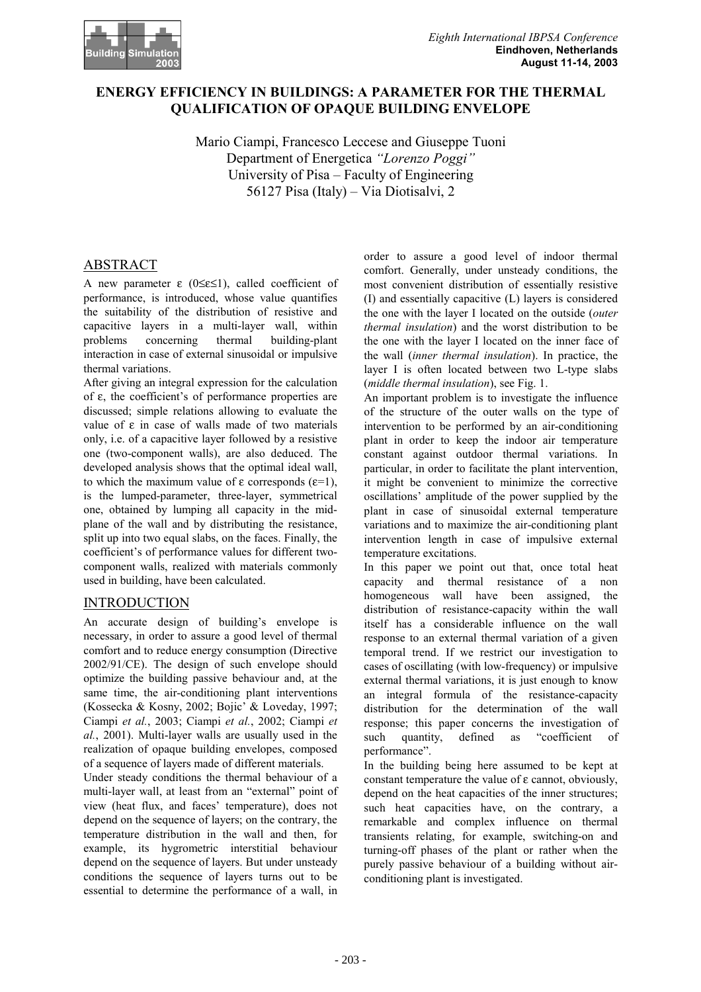

## **ENERGY EFFICIENCY IN BUILDINGS: A PARAMETER FOR THE THERMAL QUALIFICATION OF OPAQUE BUILDING ENVELOPE**

Mario Ciampi, Francesco Leccese and Giuseppe Tuoni Department of Energetica *"Lorenzo Poggi"* University of Pisa – Faculty of Engineering 56127 Pisa (Italy) – Via Diotisalvi, 2

# ABSTRACT

A new parameter  $\varepsilon$  (0≤ε≤1), called coefficient of performance, is introduced, whose value quantifies the suitability of the distribution of resistive and capacitive layers in a multi-layer wall, within problems concerning thermal building-plant interaction in case of external sinusoidal or impulsive thermal variations.

After giving an integral expression for the calculation of ε, the coefficient's of performance properties are discussed; simple relations allowing to evaluate the value of ε in case of walls made of two materials only, i.e. of a capacitive layer followed by a resistive one (two-component walls), are also deduced. The developed analysis shows that the optimal ideal wall, to which the maximum value of ε corresponds ( $ε=1$ ), is the lumped-parameter, three-layer, symmetrical one, obtained by lumping all capacity in the midplane of the wall and by distributing the resistance, split up into two equal slabs, on the faces. Finally, the coefficient's of performance values for different twocomponent walls, realized with materials commonly used in building, have been calculated.

## **INTRODUCTION**

An accurate design of building's envelope is necessary, in order to assure a good level of thermal comfort and to reduce energy consumption (Directive 2002/91/CE). The design of such envelope should optimize the building passive behaviour and, at the same time, the air-conditioning plant interventions (Kossecka & Kosny, 2002; Bojic' & Loveday, 1997; Ciampi *et al.*, 2003; Ciampi *et al.*, 2002; Ciampi *et al.*, 2001). Multi-layer walls are usually used in the realization of opaque building envelopes, composed of a sequence of layers made of different materials.

Under steady conditions the thermal behaviour of a multi-layer wall, at least from an "external" point of view (heat flux, and faces' temperature), does not depend on the sequence of layers; on the contrary, the temperature distribution in the wall and then, for example, its hygrometric interstitial behaviour depend on the sequence of layers. But under unsteady conditions the sequence of layers turns out to be essential to determine the performance of a wall, in

order to assure a good level of indoor thermal comfort. Generally, under unsteady conditions, the most convenient distribution of essentially resistive (I) and essentially capacitive (L) layers is considered the one with the layer I located on the outside (*outer thermal insulation*) and the worst distribution to be the one with the layer I located on the inner face of the wall (*inner thermal insulation*). In practice, the layer I is often located between two L-type slabs (*middle thermal insulation*), see Fig. 1.

An important problem is to investigate the influence of the structure of the outer walls on the type of intervention to be performed by an air-conditioning plant in order to keep the indoor air temperature constant against outdoor thermal variations. In particular, in order to facilitate the plant intervention, it might be convenient to minimize the corrective oscillations' amplitude of the power supplied by the plant in case of sinusoidal external temperature variations and to maximize the air-conditioning plant intervention length in case of impulsive external temperature excitations.

In this paper we point out that, once total heat capacity and thermal resistance of a non homogeneous wall have been assigned, the distribution of resistance-capacity within the wall itself has a considerable influence on the wall response to an external thermal variation of a given temporal trend. If we restrict our investigation to cases of oscillating (with low-frequency) or impulsive external thermal variations, it is just enough to know an integral formula of the resistance-capacity distribution for the determination of the wall response; this paper concerns the investigation of such quantity, defined as "coefficient of performance".

In the building being here assumed to be kept at constant temperature the value of ε cannot, obviously, depend on the heat capacities of the inner structures; such heat capacities have, on the contrary, a remarkable and complex influence on thermal transients relating, for example, switching-on and turning-off phases of the plant or rather when the purely passive behaviour of a building without airconditioning plant is investigated.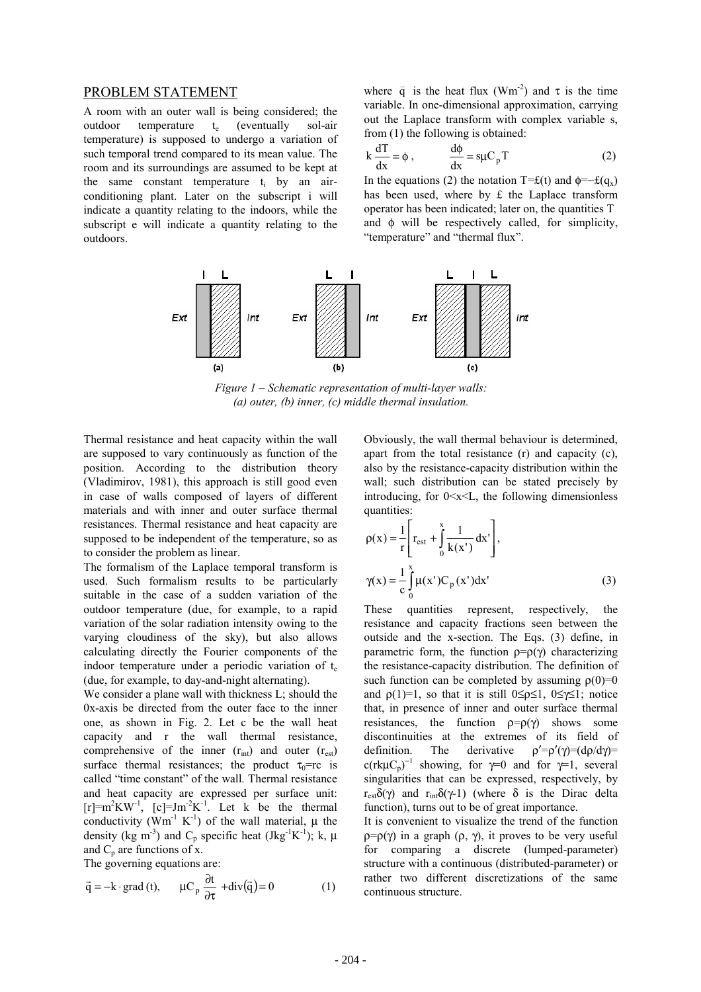#### PROBLEM STATEMENT

A room with an outer wall is being considered; the outdoor temperature t<sub>e</sub> (eventually sol-air temperature) is supposed to undergo a variation of such temporal trend compared to its mean value. The room and its surroundings are assumed to be kept at the same constant temperature ti by an airconditioning plant. Later on the subscript i will indicate a quantity relating to the indoors, while the subscript e will indicate a quantity relating to the outdoors.

where  $\vec{q}$  is the heat flux (Wm<sup>-2</sup>) and  $\tau$  is the time variable. In one-dimensional approximation, carrying out the Laplace transform with complex variable s, from (1) the following is obtained:

$$
k \frac{dT}{dx} = \phi , \qquad \frac{d\phi}{dx} = s\mu C_p T
$$
 (2)

In the equations (2) the notation T=£(t) and  $\phi = -f(q_x)$ has been used, where by £ the Laplace transform operator has been indicated; later on, the quantities T and φ will be respectively called, for simplicity, "temperature" and "thermal flux".



*Figure 1 – Schematic representation of multi-layer walls: (a) outer, (b) inner, (c) middle thermal insulation.*

Thermal resistance and heat capacity within the wall are supposed to vary continuously as function of the position. According to the distribution theory (Vladimirov, 1981), this approach is still good even in case of walls composed of layers of different materials and with inner and outer surface thermal resistances. Thermal resistance and heat capacity are supposed to be independent of the temperature, so as to consider the problem as linear.

The formalism of the Laplace temporal transform is used. Such formalism results to be particularly suitable in the case of a sudden variation of the outdoor temperature (due, for example, to a rapid variation of the solar radiation intensity owing to the varying cloudiness of the sky), but also allows calculating directly the Fourier components of the indoor temperature under a periodic variation of  $t_{e}$ (due, for example, to day-and-night alternating).

We consider a plane wall with thickness L; should the 0x-axis be directed from the outer face to the inner one, as shown in Fig. 2. Let c be the wall heat capacity and r the wall thermal resistance, comprehensive of the inner  $(r_{int})$  and outer  $(r_{est})$ surface thermal resistances; the product  $\tau_0 = rc$  is called "time constant" of the wall*.* Thermal resistance and heat capacity are expressed per surface unit:  $[r]=m^2KW^{-1}$ ,  $[c]=Jm^{-2}K^{-1}$ . Let k be the thermal conductivity  $(Wm^{-1} K^{-1})$  of the wall material,  $\mu$  the density (kg m<sup>-3</sup>) and C<sub>p</sub> specific heat (Jkg<sup>-1</sup>K<sup>-1</sup>); k,  $\mu$ and  $C_p$  are functions of x.

The governing equations are:

$$
\vec{q} = -k \cdot \text{grad} (t), \qquad \mu C_p \frac{\partial t}{\partial \tau} + \text{div}(\vec{q}) = 0 \tag{1}
$$

Obviously, the wall thermal behaviour is determined, apart from the total resistance (r) and capacity (c), also by the resistance-capacity distribution within the wall; such distribution can be stated precisely by introducing, for  $0 \le x \le L$ , the following dimensionless quantities:

$$
\rho(x) = \frac{1}{r} \left[ r_{est} + \int_{0}^{x} \frac{1}{k(x')} dx' \right],
$$
  

$$
\gamma(x) = \frac{1}{c} \int_{0}^{x} \mu(x') C_{p}(x') dx'
$$
 (3)

These quantities represent, respectively, the resistance and capacity fractions seen between the outside and the x-section. The Eqs. (3) define, in parametric form, the function  $\rho = \rho(\gamma)$  characterizing the resistance-capacity distribution. The definition of such function can be completed by assuming  $\rho(0)=0$ and  $\rho(1)=1$ , so that it is still  $0 \leq \rho \leq 1$ ,  $0 \leq \gamma \leq 1$ ; notice that, in presence of inner and outer surface thermal resistances, the function  $p=p(\gamma)$  shows some discontinuities at the extremes of its field of definition. The derivative  $\rho' = \rho'(\gamma) = (d\rho/d\gamma) =$ c(rk $\mu C_p$ )<sup>-1</sup> showing, for  $\gamma=0$  and for  $\gamma=1$ , several singularities that can be expressed, respectively, by  $r_{est}\delta(\gamma)$  and  $r_{int}\delta(\gamma-1)$  (where  $\delta$  is the Dirac delta function), turns out to be of great importance.

It is convenient to visualize the trend of the function  $p = p(\gamma)$  in a graph  $(p, \gamma)$ , it proves to be very useful for comparing a discrete (lumped-parameter) structure with a continuous (distributed-parameter) or rather two different discretizations of the same continuous structure.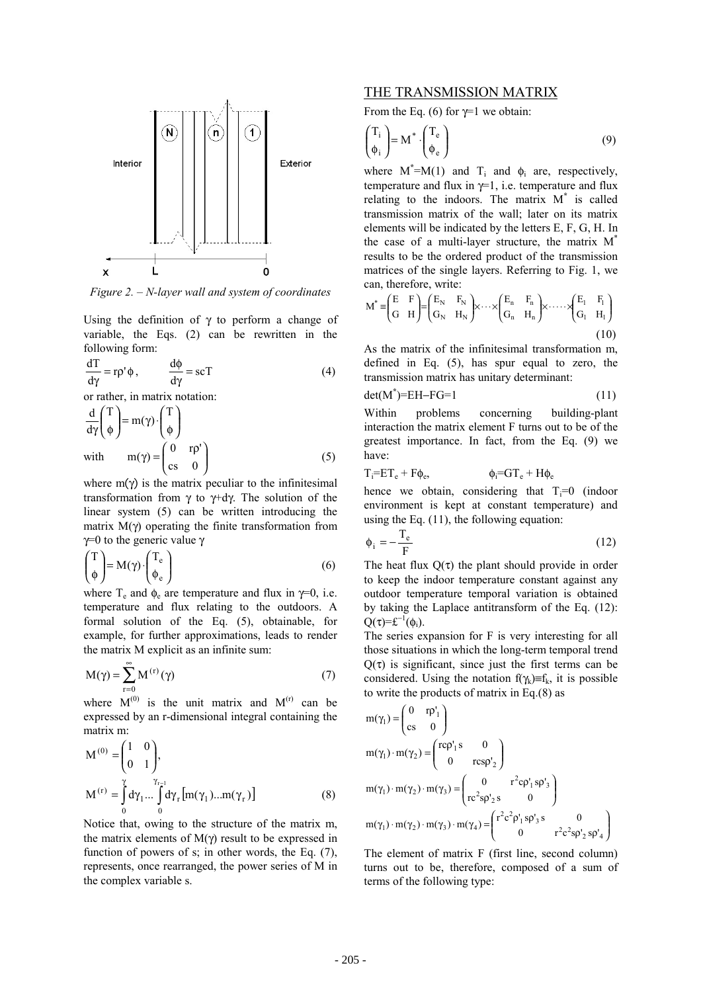

*Figure 2. – N-layer wall and system of coordinates*

Using the definition of  $\gamma$  to perform a change of variable, the Eqs. (2) can be rewritten in the following form:

$$
\frac{dT}{d\gamma} = r\rho' \phi, \qquad \frac{d\phi}{d\gamma} = scT \tag{4}
$$

or rather, in matrix notation:

$$
\frac{d}{d\gamma} \begin{pmatrix} T \\ \phi \end{pmatrix} = m(\gamma) \cdot \begin{pmatrix} T \\ \phi \end{pmatrix}
$$
  
with 
$$
m(\gamma) = \begin{pmatrix} 0 & r\rho' \\ cs & 0 \end{pmatrix}
$$
 (5)

where  $m(\gamma)$  is the matrix peculiar to the infinitesimal transformation from γ to γ+dγ. The solution of the linear system (5) can be written introducing the matrix  $M(γ)$  operating the finite transformation from  $γ=0$  to the generic value γ

$$
\begin{pmatrix} T \\ \phi \end{pmatrix} = M(\gamma) \cdot \begin{pmatrix} T_e \\ \phi_e \end{pmatrix}
$$
 (6)

where  $T_e$  and  $\phi_e$  are temperature and flux in  $\gamma=0$ , i.e. temperature and flux relating to the outdoors. A formal solution of the Eq. (5), obtainable, for example, for further approximations, leads to render the matrix M explicit as an infinite sum:

$$
M(\gamma) = \sum_{r=0}^{\infty} M^{(r)}(\gamma)
$$
 (7)

where  $M^{(0)}$  is the unit matrix and  $M^{(r)}$  can be expressed by an r-dimensional integral containing the matrix m:

$$
\mathbf{M}^{(0)} = \begin{pmatrix} 1 & 0 \\ 0 & 1 \end{pmatrix},
$$
  
\n
$$
\mathbf{M}^{(r)} = \int_{0}^{\gamma} d\gamma_{1} ... \int_{0}^{\gamma_{r-1}} d\gamma_{r} [\mathbf{m}(\gamma_{1}) ... \mathbf{m}(\gamma_{r})]
$$
\n(8)

Notice that, owing to the structure of the matrix m, the matrix elements of  $M(γ)$  result to be expressed in function of powers of s; in other words, the Eq. (7), represents, once rearranged, the power series of M in the complex variable s.

#### THE TRANSMISSION MATRIX

From the Eq. (6) for  $\gamma$ =1 we obtain:

$$
\begin{pmatrix} T_i \\ \phi_i \end{pmatrix} = M^* \cdot \begin{pmatrix} T_e \\ \phi_e \end{pmatrix}
$$
 (9)

where  $M^* = M(1)$  and  $T_i$  and  $\phi_i$  are, respectively, temperature and flux in  $\gamma=1$ , i.e. temperature and flux relating to the indoors. The matrix M**\*** is called transmission matrix of the wall; later on its matrix elements will be indicated by the letters E, F, G, H. In the case of a multi-layer structure, the matrix  $M^*$ results to be the ordered product of the transmission matrices of the single layers. Referring to Fig. 1, we can, therefore, write:

$$
M^* \equiv \begin{pmatrix} E & F \\ G & H \end{pmatrix} = \begin{pmatrix} E_N & F_N \\ G_N & H_N \end{pmatrix} \times \dots \times \begin{pmatrix} E_n & F_n \\ G_n & H_n \end{pmatrix} \times \dots \times \begin{pmatrix} E_1 & F_1 \\ G_1 & H_1 \end{pmatrix}
$$
(10)

As the matrix of the infinitesimal transformation m, defined in Eq. (5), has spur equal to zero, the transmission matrix has unitary determinant:

$$
\det(M^*) = EH - FG = 1 \tag{11}
$$

Within problems concerning building-plant interaction the matrix element F turns out to be of the greatest importance. In fact, from the Eq. (9) we have:

$$
T_i = ET_e + F\phi_e, \qquad \qquad \phi_i = GT_e + H\phi_e
$$

hence we obtain, considering that  $T_i=0$  (indoor environment is kept at constant temperature) and using the Eq. (11), the following equation:

$$
\phi_i = -\frac{T_e}{F}
$$
 (12)

The heat flux  $O(\tau)$  the plant should provide in order to keep the indoor temperature constant against any outdoor temperature temporal variation is obtained by taking the Laplace antitransform of the Eq. (12):  $Q(\tau)=\mathbf{f}^{-1}(\phi_i).$ 

The series expansion for F is very interesting for all those situations in which the long-term temporal trend  $Q(\tau)$  is significant, since just the first terms can be considered. Using the notation  $f(\gamma_k) \equiv f_k$ , it is possible to write the products of matrix in Eq.(8) as

$$
m(\gamma_1) = \begin{pmatrix} 0 & r\rho_1' \\ cs & 0 \end{pmatrix}
$$
  
\n
$$
m(\gamma_1) \cdot m(\gamma_2) = \begin{pmatrix} r\rho_1's & 0 \\ 0 & r\rho_2's \end{pmatrix}
$$
  
\n
$$
m(\gamma_1) \cdot m(\gamma_2) \cdot m(\gamma_3) = \begin{pmatrix} 0 & r^2\rho_1's\rho_3' \\ r\rho_2's & 0 \end{pmatrix}
$$
  
\n
$$
m(\gamma_1) \cdot m(\gamma_2) \cdot m(\gamma_3) \cdot m(\gamma_4) = \begin{pmatrix} r^2\rho_1's\rho_3's & 0 \\ 0 & r^2\rho_2's\rho_2's\rho_4' \end{pmatrix}
$$

The element of matrix F (first line, second column) turns out to be, therefore, composed of a sum of terms of the following type: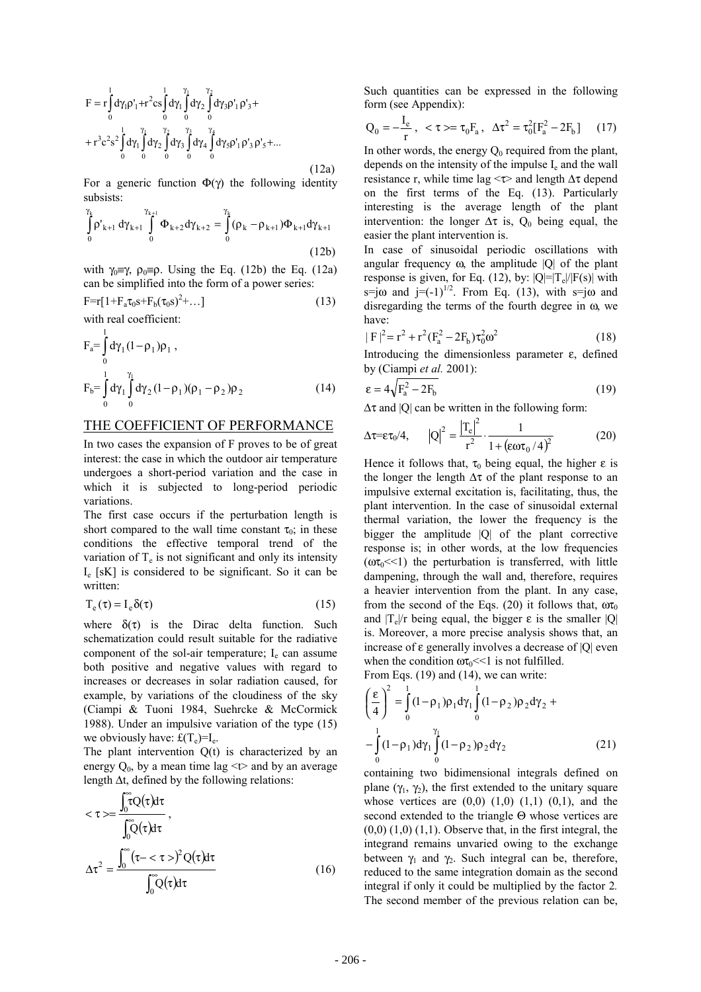$$
F = r \int_{0}^{1} d\gamma_{1} \rho_{1}^{\prime} + r^{2} cs \int_{0}^{1} d\gamma_{1} \int_{0}^{\gamma_{1}} d\gamma_{2} \int_{0}^{\gamma_{2}} d\gamma_{3} \rho_{1}^{\prime} \rho_{3}^{\prime} ++ r^{3} c^{2} s^{2} \int_{0}^{1} d\gamma_{1} \int_{0}^{\gamma_{1}} d\gamma_{2} \int_{0}^{\gamma_{2}} d\gamma_{3} \int_{0}^{\gamma_{3}} d\gamma_{4} \int_{0}^{\gamma_{4}} d\gamma_{5} \rho_{1}^{\prime} \rho_{3}^{\prime} \rho_{5}^{\prime} + ...
$$
\n(12a)

For a generic function  $\Phi(\gamma)$  the following identity subsists:

$$
\int_{0}^{\gamma_{k}} \rho'_{k+1} d\gamma_{k+1} \int_{0}^{\gamma_{k+1}} \Phi_{k+2} d\gamma_{k+2} = \int_{0}^{\gamma_{k}} (\rho_{k} - \rho_{k+1}) \Phi_{k+1} d\gamma_{k+1}
$$
\n(12b)

with  $\gamma_0 \equiv \gamma$ ,  $\rho_0 \equiv \rho$ . Using the Eq. (12b) the Eq. (12a) can be simplified into the form of a power series:

$$
F = r[1 + F_a \tau_0 s + F_b (\tau_0 s)^2 + \dots]
$$
\n(13)

with real coefficient:

1

$$
F_a = \int_0^1 d\gamma_1 (1 - \rho_1) \rho_1 ,
$$
  
\n
$$
F_b = \int_0^1 d\gamma_1 \int_0^{\gamma_1} d\gamma_2 (1 - \rho_1) (\rho_1 - \rho_2) \rho_2
$$
\n(14)

### THE COEFFICIENT OF PERFORMANCE

In two cases the expansion of F proves to be of great interest: the case in which the outdoor air temperature undergoes a short-period variation and the case in which it is subjected to long-period periodic variations.

The first case occurs if the perturbation length is short compared to the wall time constant  $\tau_0$ ; in these conditions the effective temporal trend of the variation of  $T_e$  is not significant and only its intensity  $I_e$  [sK] is considered to be significant. So it can be written:

$$
T_e(\tau) = I_e \delta(\tau) \tag{15}
$$

where  $\delta(\tau)$  is the Dirac delta function. Such schematization could result suitable for the radiative component of the sol-air temperature;  $I_e$  can assume both positive and negative values with regard to increases or decreases in solar radiation caused, for example, by variations of the cloudiness of the sky (Ciampi & Tuoni 1984, Suehrcke & McCormick 1988). Under an impulsive variation of the type (15) we obviously have:  $f(T_e)=I_e$ .

The plant intervention  $Q(t)$  is characterized by an energy  $Q_0$ , by a mean time lag  $\le t$  and by an average length ∆t, defined by the following relations:

$$
\langle \tau \rangle = \frac{\int_0^{\infty} \tau Q(\tau) d\tau}{\int_0^{\infty} Q(\tau) d\tau},
$$

$$
\Delta \tau^2 = \frac{\int_0^{\infty} (\tau - \langle \tau \rangle)^2 Q(\tau) d\tau}{\int_0^{\infty} Q(\tau) d\tau}
$$
(16)

Such quantities can be expressed in the following form (see Appendix):

$$
Q_0 = -\frac{I_e}{r}, \ \ <\tau>=\tau_0 F_a, \ \ \Delta\tau^2 = \tau_0^2 [F_a^2 - 2F_b] \tag{17}
$$

In other words, the energy  $Q_0$  required from the plant, depends on the intensity of the impulse  $I<sub>e</sub>$  and the wall resistance r, while time lag  $\leq \tau$  and length  $\Delta \tau$  depend on the first terms of the Eq. (13). Particularly interesting is the average length of the plant intervention: the longer  $\Delta \tau$  is,  $Q_0$  being equal, the easier the plant intervention is.

In case of sinusoidal periodic oscillations with angular frequency  $\omega$ , the amplitude  $|Q|$  of the plant response is given, for Eq. (12), by:  $|Q|=|T_e|/|F(s)|$  with s=j $\omega$  and j=(-1)<sup>1/2</sup>. From Eq. (13), with s=j $\omega$  and disregarding the terms of the fourth degree in ω, we have:

$$
|F|^2 = r^2 + r^2 (F_a^2 - 2F_b) \tau_0^2 \omega^2
$$
 (18)

Introducing the dimensionless parameter ε, defined by (Ciampi *et al.* 2001):

$$
\varepsilon = 4\sqrt{F_a^2 - 2F_b} \tag{19}
$$

 $\Delta \tau$  and |Q| can be written in the following form:

$$
\Delta \tau = \epsilon \tau_0 / 4, \qquad |Q|^2 = \frac{|T_e|^2}{r^2} \cdot \frac{1}{1 + (\epsilon \omega \tau_0 / 4)^2}
$$
(20)

Hence it follows that,  $\tau_0$  being equal, the higher  $\varepsilon$  is the longer the length  $\Delta \tau$  of the plant response to an impulsive external excitation is, facilitating, thus, the plant intervention. In the case of sinusoidal external thermal variation, the lower the frequency is the bigger the amplitude |Q| of the plant corrective response is; in other words, at the low frequencies  $(\omega \tau_0 \ll 1)$  the perturbation is transferred, with little dampening, through the wall and, therefore, requires a heavier intervention from the plant. In any case, from the second of the Eqs. (20) it follows that,  $\omega \tau_0$ and  $|T_e|/r$  being equal, the bigger  $\varepsilon$  is the smaller  $|Q|$ is. Moreover, a more precise analysis shows that, an increase of  $\varepsilon$  generally involves a decrease of  $|Q|$  even when the condition  $\omega \tau_0 \ll 1$  is not fulfilled. From Eqs. (19) and (14), we can write:

$$
\left(\frac{\varepsilon}{4}\right)^2 = \int_0^1 (1 - \rho_1)\rho_1 d\gamma_1 \int_0^1 (1 - \rho_2)\rho_2 d\gamma_2 + -\int_0^1 (1 - \rho_1) d\gamma_1 \int_0^{\gamma_1} (1 - \rho_2)\rho_2 d\gamma_2
$$
\n(21)

containing two bidimensional integrals defined on plane  $(\gamma_1, \gamma_2)$ , the first extended to the unitary square whose vertices are  $(0,0)$   $(1,0)$   $(1,1)$   $(0,1)$ , and the second extended to the triangle Θ whose vertices are  $(0,0)$   $(1,0)$   $(1,1)$ . Observe that, in the first integral, the integrand remains unvaried owing to the exchange between  $\gamma_1$  and  $\gamma_2$ . Such integral can be, therefore, reduced to the same integration domain as the second integral if only it could be multiplied by the factor 2*.* The second member of the previous relation can be,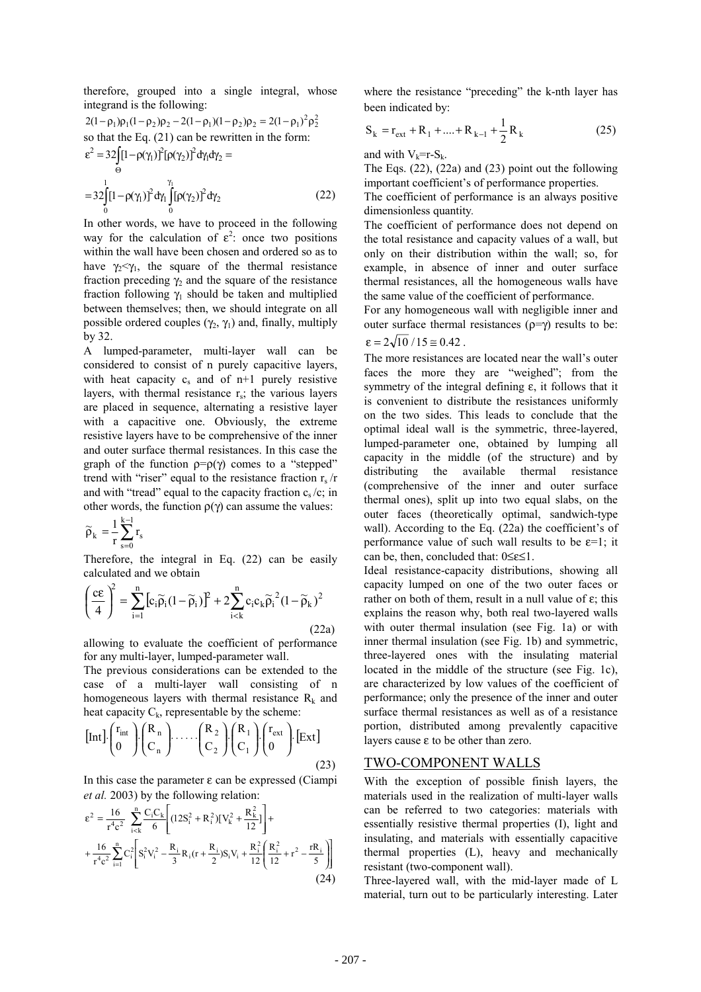therefore, grouped into a single integral, whose integrand is the following:

$$
2(1 - \rho_1)\rho_1(1 - \rho_2)\rho_2 - 2(1 - \rho_1)(1 - \rho_2)\rho_2 = 2(1 - \rho_1)^2 \rho_2^2
$$
  
so that the Eq. (21) can be rewritten in the form:  

$$
\varepsilon^2 = 32 \int_{\Theta} [1 - \rho(\gamma_1)]^2 [\rho(\gamma_2)]^2 d\gamma_1 d\gamma_2 =
$$

$$
= 32 \int_{\Theta} [1 - \rho(\gamma_1)]^2 d\gamma_1 \int_{\Theta}^{\gamma_1} [\rho(\gamma_2)]^2 d\gamma_2
$$
(22)

0 0

In other words, we have to proceed in the following way for the calculation of  $\varepsilon^2$ : once two positions within the wall have been chosen and ordered so as to have  $\gamma_2 < \gamma_1$ , the square of the thermal resistance fraction preceding  $\gamma_2$  and the square of the resistance fraction following  $\gamma_1$  should be taken and multiplied between themselves; then, we should integrate on all possible ordered couples  $(\gamma_2, \gamma_1)$  and, finally, multiply by 32.

A lumped-parameter, multi-layer wall can be considered to consist of n purely capacitive layers, with heat capacity  $c_s$  and of  $n+1$  purely resistive layers, with thermal resistance  $r_s$ ; the various layers are placed in sequence, alternating a resistive layer with a capacitive one. Obviously, the extreme resistive layers have to be comprehensive of the inner and outer surface thermal resistances. In this case the graph of the function  $p=p(\gamma)$  comes to a "stepped" trend with "riser" equal to the resistance fraction  $r_s/r$ and with "tread" equal to the capacity fraction  $c_s/c$ ; in other words, the function  $ρ(γ)$  can assume the values:

$$
\widetilde{\rho}_k = \!\frac{1}{r}\!\sum_{s=0}^{k-l} r_s
$$

Therefore, the integral in Eq. (22) can be easily calculated and we obtain

$$
\left(\frac{ce}{4}\right)^2 = \sum_{i=1}^n \left[c_i \widetilde{\rho}_i (1 - \widetilde{\rho}_i)\right]^2 + 2 \sum_{i < k}^n c_i c_k \widetilde{\rho}_i^2 (1 - \widetilde{\rho}_k)^2
$$
\n(22a)

allowing to evaluate the coefficient of performance for any multi-layer, lumped-parameter wall.

The previous considerations can be extended to the case of a multi-layer wall consisting of n homogeneous layers with thermal resistance  $R_k$  and heat capacity  $C_k$ , representable by the scheme:

$$
\begin{bmatrix} \text{Int} \end{bmatrix} \cdot \begin{bmatrix} r_{\text{int}} \\ 0 \end{bmatrix} \cdot \begin{bmatrix} R_n \\ C_n \end{bmatrix} \cdot \cdots \cdot \begin{bmatrix} R_2 \\ C_2 \end{bmatrix} \cdot \begin{bmatrix} R_1 \\ C_1 \end{bmatrix} \cdot \begin{bmatrix} r_{\text{ext}} \\ 0 \end{bmatrix} \cdot \begin{bmatrix} \text{Ext} \end{bmatrix}
$$
(23)

In this case the parameter  $ε$  can be expressed (Ciampi *et al.* 2003) by the following relation:

$$
\varepsilon^{2} = \frac{16}{r^{4}c^{2}} \sum_{i=k}^{n} \frac{C_{i}C_{k}}{6} \left[ (12S_{i}^{2} + R_{i}^{2})[V_{k}^{2} + \frac{R_{k}^{2}}{12}] \right] + + \frac{16}{r^{4}c^{2}} \sum_{i=1}^{n} C_{i}^{2} \left[ S_{i}^{2}V_{i}^{2} - \frac{R_{i}}{3}R_{i}(r + \frac{R_{i}}{2})S_{i}V_{i} + \frac{R_{i}^{2}}{12} \left( \frac{R_{i}^{2}}{12} + r^{2} - \frac{rR_{i}}{5} \right) \right]
$$
(24)

where the resistance "preceding" the k-nth layer has been indicated by:

$$
S_k = r_{ext} + R_1 + \dots + R_{k-1} + \frac{1}{2}R_k
$$
 (25)

and with  $V_k=r-S_k$ .

The Eqs.  $(22)$ ,  $(22a)$  and  $(23)$  point out the following important coefficient's of performance properties.

The coefficient of performance is an always positive dimensionless quantity*.*

The coefficient of performance does not depend on the total resistance and capacity values of a wall, but only on their distribution within the wall; so, for example, in absence of inner and outer surface thermal resistances, all the homogeneous walls have the same value of the coefficient of performance.

For any homogeneous wall with negligible inner and outer surface thermal resistances  $(0=γ)$  results to be:  $\varepsilon = 2\sqrt{10}/15 \approx 0.42$ .

The more resistances are located near the wall's outer faces the more they are "weighed"; from the symmetry of the integral defining ε, it follows that it is convenient to distribute the resistances uniformly on the two sides. This leads to conclude that the optimal ideal wall is the symmetric, three-layered, lumped-parameter one, obtained by lumping all capacity in the middle (of the structure) and by distributing the available thermal resistance (comprehensive of the inner and outer surface thermal ones), split up into two equal slabs, on the outer faces (theoretically optimal, sandwich-type wall). According to the Eq. (22a) the coefficient's of performance value of such wall results to be  $\varepsilon=1$ ; it can be, then, concluded that: 0≤ε≤1.

Ideal resistance-capacity distributions, showing all capacity lumped on one of the two outer faces or rather on both of them, result in a null value of ε; this explains the reason why, both real two-layered walls with outer thermal insulation (see Fig. 1a) or with inner thermal insulation (see Fig. 1b) and symmetric, three-layered ones with the insulating material located in the middle of the structure (see Fig. 1c), are characterized by low values of the coefficient of performance; only the presence of the inner and outer surface thermal resistances as well as of a resistance portion, distributed among prevalently capacitive layers cause ε to be other than zero.

### TWO-COMPONENT WALLS

With the exception of possible finish layers, the materials used in the realization of multi-layer walls can be referred to two categories: materials with essentially resistive thermal properties (I), light and insulating, and materials with essentially capacitive thermal properties (L), heavy and mechanically resistant (two-component wall).

Three-layered wall, with the mid-layer made of L material, turn out to be particularly interesting. Later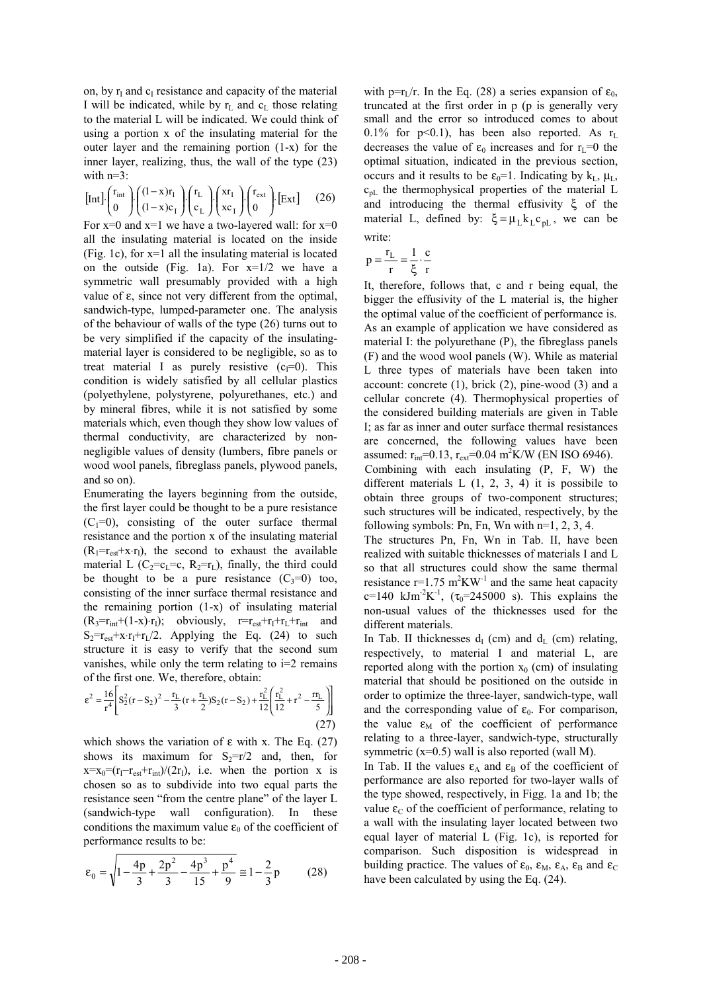on, by  $r<sub>I</sub>$  and  $c<sub>I</sub>$  resistance and capacity of the material I will be indicated, while by  $r<sub>L</sub>$  and  $c<sub>L</sub>$  those relating to the material L will be indicated. We could think of using a portion x of the insulating material for the outer layer and the remaining portion (1-x) for the inner layer, realizing, thus, the wall of the type (23) with  $n=3$ :

$$
\begin{bmatrix} \text{Int} \end{bmatrix} \cdot \begin{pmatrix} r_{\text{int}} \\ 0 \end{pmatrix} \cdot \begin{pmatrix} (1-x)r_{\text{I}} \\ (1-x)c_{\text{I}} \end{pmatrix} \cdot \begin{pmatrix} r_{\text{L}} \\ c_{\text{L}} \end{pmatrix} \cdot \begin{pmatrix} xr_{\text{I}} \\ xc_{\text{I}} \end{pmatrix} \cdot \begin{bmatrix} r_{\text{ext}} \\ 0 \end{bmatrix} \cdot \begin{bmatrix} \text{Ext} \end{bmatrix} \tag{26}
$$

For  $x=0$  and  $x=1$  we have a two-layered wall: for  $x=0$ all the insulating material is located on the inside (Fig. 1c), for x=1 all the insulating material is located on the outside (Fig. 1a). For  $x=1/2$  we have a symmetric wall presumably provided with a high value of ε, since not very different from the optimal, sandwich-type, lumped-parameter one. The analysis of the behaviour of walls of the type (26) turns out to be very simplified if the capacity of the insulatingmaterial layer is considered to be negligible, so as to treat material I as purely resistive  $(c_1=0)$ . This condition is widely satisfied by all cellular plastics (polyethylene, polystyrene, polyurethanes, etc.) and by mineral fibres, while it is not satisfied by some materials which, even though they show low values of thermal conductivity, are characterized by nonnegligible values of density (lumbers, fibre panels or wood wool panels, fibreglass panels, plywood panels, and so on).

Enumerating the layers beginning from the outside, the first layer could be thought to be a pure resistance  $(C_1=0)$ , consisting of the outer surface thermal resistance and the portion x of the insulating material  $(R_1=r_{est}+x\cdot r_1)$ , the second to exhaust the available material L ( $C_2 = c_1 = c$ ,  $R_2 = r_L$ ), finally, the third could be thought to be a pure resistance  $(C_3=0)$  too. consisting of the inner surface thermal resistance and the remaining portion (1-x) of insulating material  $(R_3=r_{int}+(1-x)\cdot r_1)$ ; obviously,  $r=r_{est}+r_1+r_L+r_{int}$  and  $S_2=r_{est}+x\cdot r_1+r_1/2$ . Applying the Eq. (24) to such structure it is easy to verify that the second sum vanishes, while only the term relating to i=2 remains of the first one. We, therefore, obtain:

$$
\varepsilon^{2} = \frac{16}{r^{4}} \left[ S_{2}^{2}(r - S_{2})^{2} - \frac{r_{L}}{3} (r + \frac{r_{L}}{2}) S_{2}(r - S_{2}) + \frac{r_{L}^{2}}{12} \left( \frac{r_{L}^{2}}{12} + r^{2} - \frac{r_{L}}{5} \right) \right]
$$
(27)

which shows the variation of  $\varepsilon$  with x. The Eq. (27) shows its maximum for  $S_2=r/2$  and, then, for  $x=x_0=(r_1-r_{est}+r_{int})/(2r_1)$ , i.e. when the portion x is chosen so as to subdivide into two equal parts the resistance seen "from the centre plane" of the layer L (sandwich-type wall configuration). In these conditions the maximum value  $\varepsilon_0$  of the coefficient of performance results to be:

$$
\varepsilon_0 = \sqrt{1 - \frac{4p}{3} + \frac{2p^2}{3} - \frac{4p^3}{15} + \frac{p^4}{9}} \approx 1 - \frac{2}{3}p \tag{28}
$$

with p=r<sub>L</sub>/r. In the Eq. (28) a series expansion of  $\varepsilon_0$ , truncated at the first order in p (p is generally very small and the error so introduced comes to about 0.1% for  $p<0.1$ ), has been also reported. As  $r<sub>L</sub>$ decreases the value of  $\varepsilon_0$  increases and for  $r_L=0$  the optimal situation, indicated in the previous section, occurs and it results to be  $\varepsilon_0=1$ . Indicating by  $k_L$ ,  $\mu_L$ ,  $c_{pL}$  the thermophysical properties of the material L and introducing the thermal effusivity ξ of the material L, defined by:  $\xi = \mu_L k_L c_{pL}$ , we can be write:

$$
p = \frac{r_L}{r} = \frac{1}{\xi} \cdot \frac{c}{r}
$$

It, therefore, follows that, c and r being equal, the bigger the effusivity of the L material is, the higher the optimal value of the coefficient of performance is. As an example of application we have considered as material I: the polyurethane (P), the fibreglass panels (F) and the wood wool panels (W). While as material L three types of materials have been taken into account: concrete  $(1)$ , brick  $(2)$ , pine-wood  $(3)$  and a cellular concrete (4). Thermophysical properties of the considered building materials are given in Table I; as far as inner and outer surface thermal resistances are concerned, the following values have been assumed:  $r_{\text{int}}$ =0.13,  $r_{\text{ext}}$ =0.04 m<sup>2</sup>K/W (EN ISO 6946). Combining with each insulating (P, F, W) the different materials  $L(1, 2, 3, 4)$  it is possibile to obtain three groups of two-component structures; such structures will be indicated, respectively, by the following symbols: Pn, Fn, Wn with  $n=1, 2, 3, 4$ .

The structures Pn, Fn, Wn in Tab. II, have been realized with suitable thicknesses of materials I and L so that all structures could show the same thermal resistance  $r=1.75$  m<sup>2</sup>KW<sup>-1</sup> and the same heat capacity c=140 kJm<sup>-2</sup>K<sup>-1</sup>, ( $\tau_0$ =245000 s). This explains the non-usual values of the thicknesses used for the different materials.

In Tab. II thicknesses  $d_I$  (cm) and  $d_L$  (cm) relating, respectively, to material I and material L, are reported along with the portion  $x_0$  (cm) of insulating material that should be positioned on the outside in order to optimize the three-layer, sandwich-type, wall and the corresponding value of  $\varepsilon_0$ . For comparison, the value  $\varepsilon_M$  of the coefficient of performance relating to a three-layer, sandwich-type, structurally symmetric  $(x=0.5)$  wall is also reported (wall M).

In Tab. II the values  $\varepsilon_A$  and  $\varepsilon_B$  of the coefficient of performance are also reported for two-layer walls of the type showed, respectively, in Figg. 1a and 1b; the value  $\varepsilon_c$  of the coefficient of performance, relating to a wall with the insulating layer located between two equal layer of material L (Fig. 1c), is reported for comparison. Such disposition is widespread in building practice. The values of  $\varepsilon_0$ ,  $\varepsilon_M$ ,  $\varepsilon_A$ ,  $\varepsilon_B$  and  $\varepsilon_C$ have been calculated by using the Eq. (24).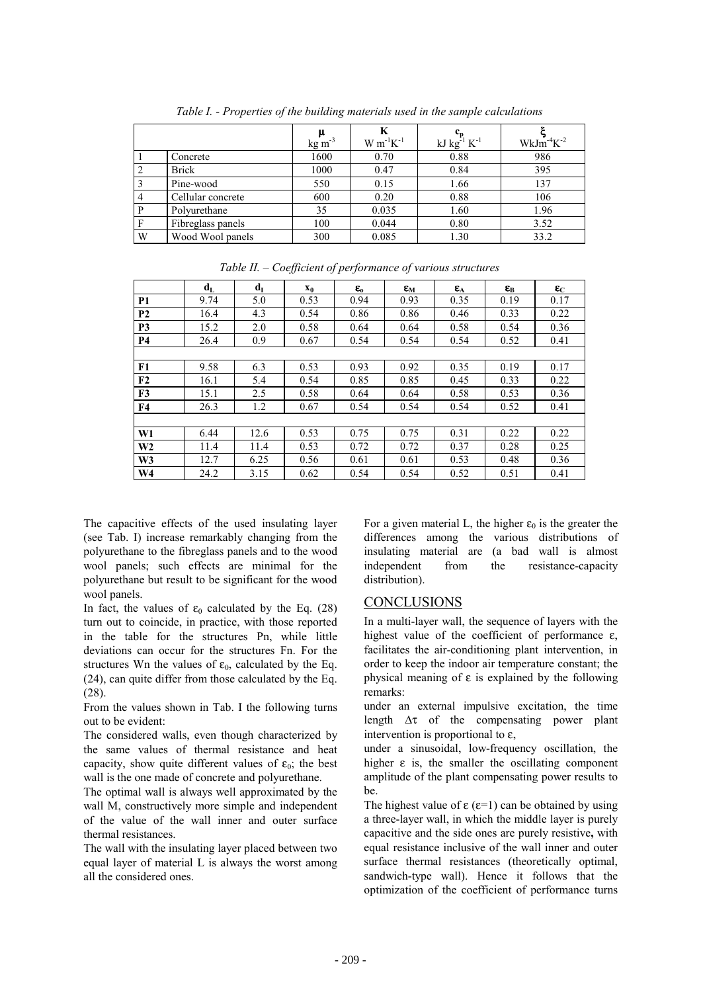|   |                   | $kg \, \text{m}^{-3}$ | $W m^{-1} K^{-1}$ | kJ $kg^{-1} K^{-1}$ | $WkJm-4K-2$ |
|---|-------------------|-----------------------|-------------------|---------------------|-------------|
|   | Concrete          | 1600                  | 0.70              | 0.88                | 986         |
|   | <b>Brick</b>      | 1000                  | 0.47              | 0.84                | 395         |
|   | Pine-wood         | 550                   | 0.15              | 1.66                | 137         |
|   | Cellular concrete | 600                   | 0.20              | 0.88                | 106         |
| P | Polyurethane      | 35                    | 0.035             | 1.60                | 1.96        |
| F | Fibreglass panels | 100                   | 0.044             | 0.80                | 3.52        |
| W | Wood Wool panels  | 300                   | 0.085             | 1.30                | 33.2        |

*Table I. - Properties of the building materials used in the sample calculations*

|                | $d_{\rm L}$ | $d_I$ | $\mathbf{x_0}$ | $\boldsymbol{\varepsilon}_{\rm o}$ | $\epsilon_{\rm M}$ | $\epsilon_{A}$ | $\epsilon_{\rm B}$ | $\epsilon_{\mathrm{C}}$ |
|----------------|-------------|-------|----------------|------------------------------------|--------------------|----------------|--------------------|-------------------------|
| P <sub>1</sub> | 9.74        | 5.0   | 0.53           | 0.94                               | 0.93               | 0.35           | 0.19               | 0.17                    |
| P <sub>2</sub> | 16.4        | 4.3   | 0.54           | 0.86                               | 0.86               | 0.46           | 0.33               | 0.22                    |
| P <sub>3</sub> | 15.2        | 2.0   | 0.58           | 0.64                               | 0.64               | 0.58           | 0.54               | 0.36                    |
| <b>P4</b>      | 26.4        | 0.9   | 0.67           | 0.54                               | 0.54               | 0.54           | 0.52               | 0.41                    |
|                |             |       |                |                                    |                    |                |                    |                         |
| F1             | 9.58        | 6.3   | 0.53           | 0.93                               | 0.92               | 0.35           | 0.19               | 0.17                    |
| F2             | 16.1        | 5.4   | 0.54           | 0.85                               | 0.85               | 0.45           | 0.33               | 0.22                    |
| F3             | 15.1        | 2.5   | 0.58           | 0.64                               | 0.64               | 0.58           | 0.53               | 0.36                    |
| F4             | 26.3        | 1.2   | 0.67           | 0.54                               | 0.54               | 0.54           | 0.52               | 0.41                    |
|                |             |       |                |                                    |                    |                |                    |                         |
| W1             | 6.44        | 12.6  | 0.53           | 0.75                               | 0.75               | 0.31           | 0.22               | 0.22                    |
| W <sub>2</sub> | 11.4        | 11.4  | 0.53           | 0.72                               | 0.72               | 0.37           | 0.28               | 0.25                    |
| W <sub>3</sub> | 12.7        | 6.25  | 0.56           | 0.61                               | 0.61               | 0.53           | 0.48               | 0.36                    |
| W4             | 24.2        | 3.15  | 0.62           | 0.54                               | 0.54               | 0.52           | 0.51               | 0.41                    |

*Table II. – Coefficient of performance of various structures*

The capacitive effects of the used insulating layer (see Tab. I) increase remarkably changing from the polyurethane to the fibreglass panels and to the wood wool panels; such effects are minimal for the polyurethane but result to be significant for the wood wool panels.

In fact, the values of  $\varepsilon_0$  calculated by the Eq. (28) turn out to coincide, in practice, with those reported in the table for the structures Pn, while little deviations can occur for the structures Fn. For the structures Wn the values of  $\varepsilon_0$ , calculated by the Eq. (24), can quite differ from those calculated by the Eq. (28).

From the values shown in Tab. I the following turns out to be evident:

The considered walls, even though characterized by the same values of thermal resistance and heat capacity, show quite different values of  $\varepsilon_0$ ; the best wall is the one made of concrete and polyurethane.

The optimal wall is always well approximated by the wall M, constructively more simple and independent of the value of the wall inner and outer surface thermal resistances.

The wall with the insulating layer placed between two equal layer of material L is always the worst among all the considered ones.

For a given material L, the higher  $\varepsilon_0$  is the greater the differences among the various distributions of insulating material are (a bad wall is almost independent from the resistance-capacity distribution).

## CONCLUSIONS

In a multi-layer wall, the sequence of layers with the highest value of the coefficient of performance  $\varepsilon$ , facilitates the air-conditioning plant intervention, in order to keep the indoor air temperature constant; the physical meaning of  $\varepsilon$  is explained by the following remarks:

under an external impulsive excitation, the time length  $\Delta \tau$  of the compensating power plant intervention is proportional to ε,

under a sinusoidal, low-frequency oscillation, the higher  $\varepsilon$  is, the smaller the oscillating component amplitude of the plant compensating power results to be.

The highest value of  $\varepsilon$  ( $\varepsilon$ =1) can be obtained by using a three-layer wall, in which the middle layer is purely capacitive and the side ones are purely resistive**,** with equal resistance inclusive of the wall inner and outer surface thermal resistances (theoretically optimal, sandwich-type wall). Hence it follows that the optimization of the coefficient of performance turns